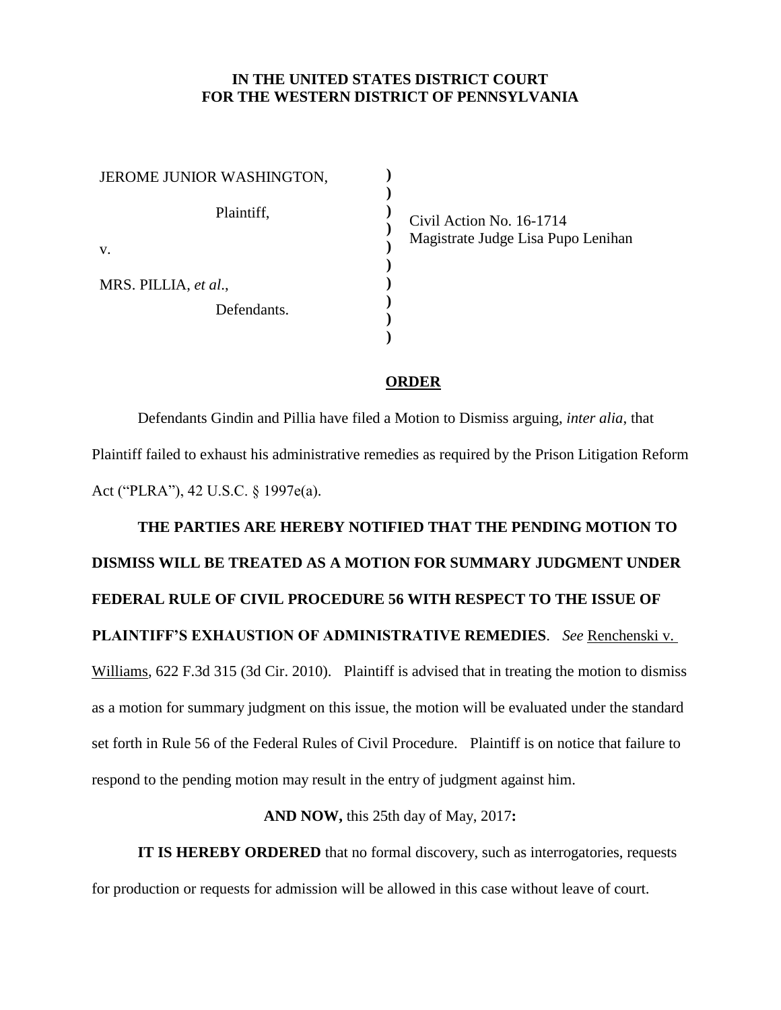## **IN THE UNITED STATES DISTRICT COURT FOR THE WESTERN DISTRICT OF PENNSYLVANIA**

**) ) ) ) ) ) ) ) ) )**

| JEROME JUNIOR WASHINGTON, |
|---------------------------|
| Plaintiff,                |
| V.                        |
| MRS. PILLIA, et al.,      |
| Defendants.               |
|                           |

Civil Action No. 16-1714 Magistrate Judge Lisa Pupo Lenihan

## **ORDER**

Defendants Gindin and Pillia have filed a Motion to Dismiss arguing, *inter alia*, that Plaintiff failed to exhaust his administrative remedies as required by the Prison Litigation Reform Act ("PLRA"), 42 U.S.C. § 1997e(a).

## **THE PARTIES ARE HEREBY NOTIFIED THAT THE PENDING MOTION TO DISMISS WILL BE TREATED AS A MOTION FOR SUMMARY JUDGMENT UNDER FEDERAL RULE OF CIVIL PROCEDURE 56 WITH RESPECT TO THE ISSUE OF PLAINTIFF'S EXHAUSTION OF ADMINISTRATIVE REMEDIES**. *See* Renchenski v. Williams, 622 F.3d 315 (3d Cir. 2010). Plaintiff is advised that in treating the motion to dismiss as a motion for summary judgment on this issue, the motion will be evaluated under the standard set forth in Rule 56 of the Federal Rules of Civil Procedure. Plaintiff is on notice that failure to respond to the pending motion may result in the entry of judgment against him.

## **AND NOW,** this 25th day of May, 2017**:**

**IT IS HEREBY ORDERED** that no formal discovery, such as interrogatories, requests for production or requests for admission will be allowed in this case without leave of court.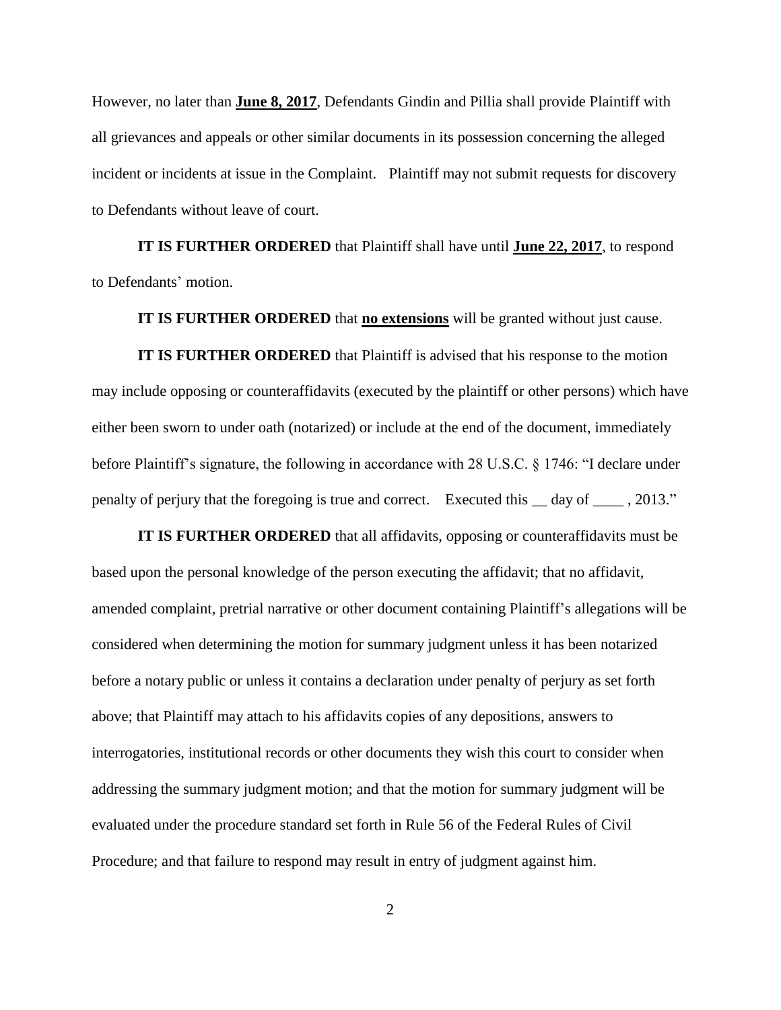However, no later than **June 8, 2017**, Defendants Gindin and Pillia shall provide Plaintiff with all grievances and appeals or other similar documents in its possession concerning the alleged incident or incidents at issue in the Complaint. Plaintiff may not submit requests for discovery to Defendants without leave of court.

**IT IS FURTHER ORDERED** that Plaintiff shall have until **June 22, 2017**, to respond to Defendants' motion.

**IT IS FURTHER ORDERED** that **no extensions** will be granted without just cause.

**IT IS FURTHER ORDERED** that Plaintiff is advised that his response to the motion may include opposing or counteraffidavits (executed by the plaintiff or other persons) which have either been sworn to under oath (notarized) or include at the end of the document, immediately before Plaintiff's signature, the following in accordance with 28 U.S.C. § 1746: "I declare under penalty of perjury that the foregoing is true and correct. Executed this \_\_ day of \_\_\_\_ , 2013."

**IT IS FURTHER ORDERED** that all affidavits, opposing or counteraffidavits must be based upon the personal knowledge of the person executing the affidavit; that no affidavit, amended complaint, pretrial narrative or other document containing Plaintiff's allegations will be considered when determining the motion for summary judgment unless it has been notarized before a notary public or unless it contains a declaration under penalty of perjury as set forth above; that Plaintiff may attach to his affidavits copies of any depositions, answers to interrogatories, institutional records or other documents they wish this court to consider when addressing the summary judgment motion; and that the motion for summary judgment will be evaluated under the procedure standard set forth in Rule 56 of the Federal Rules of Civil Procedure; and that failure to respond may result in entry of judgment against him.